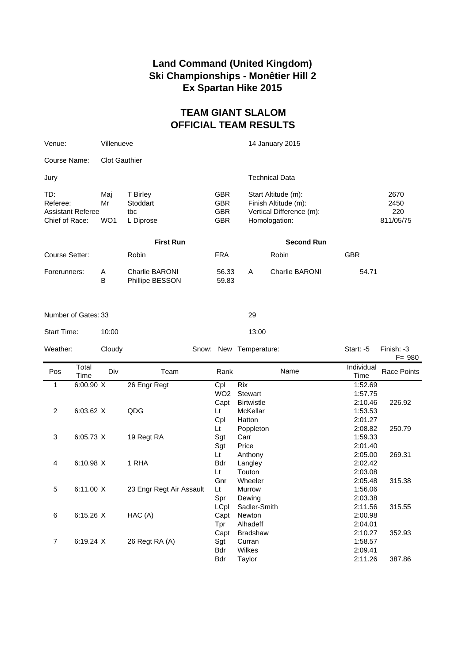## **Land Command (United Kingdom) Ski Championships - Monêtier Hill 2 Ex Spartan Hike 2015**

## **TEAM GIANT SLALOM OFFICIAL TEAM RESULTS**

| Venue:                                                 | Villenueve                   |                                          |                                                      | 14 January 2015                                                                          |                |                                  |  |
|--------------------------------------------------------|------------------------------|------------------------------------------|------------------------------------------------------|------------------------------------------------------------------------------------------|----------------|----------------------------------|--|
| Course Name:                                           | <b>Clot Gauthier</b>         |                                          |                                                      |                                                                                          |                |                                  |  |
| Jury                                                   |                              |                                          |                                                      |                                                                                          | Technical Data |                                  |  |
| TD:<br>Referee:<br>Assistant Referee<br>Chief of Race: | Mai<br>Mr<br>WO <sub>1</sub> | T Birley<br>Stoddart<br>tbc<br>L Diprose | <b>GBR</b><br><b>GBR</b><br><b>GBR</b><br><b>GBR</b> | Start Altitude (m):<br>Finish Altitude (m):<br>Vertical Difference (m):<br>Homologation: |                | 2670<br>2450<br>220<br>811/05/75 |  |
|                                                        | <b>First Run</b>             |                                          |                                                      | <b>Second Run</b>                                                                        |                |                                  |  |
| Course Setter:                                         |                              | Robin                                    | <b>FRA</b>                                           |                                                                                          | Robin          | <b>GBR</b>                       |  |
| Forerunners:                                           | A<br>B                       | <b>Charlie BARONI</b><br>Phillipe BESSON | 56.33<br>59.83                                       | A                                                                                        | Charlie BARONI | 54.71                            |  |

| Number of Gates: 33 |  |
|---------------------|--|
|---------------------|--|

Start Time: 10:00 13:00

| Weather: | Cloudy               |              | Snow: New | Temperature:            | Start: $-5$                                            | Finish: -3<br>$F = 980$ |
|----------|----------------------|--------------|-----------|-------------------------|--------------------------------------------------------|-------------------------|
| Pos      | Total<br>Div<br>Time | Team         | Rank      | Name                    | Individual<br>Time                                     | Race Points             |
|          | 6:00.90 X            | 26 Engr Regt | Cpl       | Rix<br>$11100 \quad 01$ | 1:52.69<br>$\lambda$ . $\Gamma$ $\rightarrow$ $\Gamma$ |                         |

|                | <b>P:00.90 Y</b> | 26 Engr Regt             | ∪pı             | <b>KIX</b>        | 1.52.69 |        |
|----------------|------------------|--------------------------|-----------------|-------------------|---------|--------|
|                |                  |                          | WO <sub>2</sub> | Stewart           | 1:57.75 |        |
|                |                  |                          | Capt            | <b>Birtwistle</b> | 2:10.46 | 226.92 |
| $\overline{c}$ | 6:03.62 X        | QDG                      | Lt              | McKellar          | 1:53.53 |        |
|                |                  |                          | Cpl             | Hatton            | 2:01.27 |        |
|                |                  |                          | Lt              | Poppleton         | 2:08.82 | 250.79 |
| 3              | 6:05.73 X        | 19 Regt RA               | Sgt             | Carr              | 1:59.33 |        |
|                |                  |                          | Sgt             | Price             | 2:01.40 |        |
|                |                  |                          | Lt              | Anthony           | 2:05.00 | 269.31 |
| 4              | 6:10.98 X        | 1 RHA                    | Bdr             | Langley           | 2:02.42 |        |
|                |                  |                          | Lt              | Touton            | 2:03.08 |        |
|                |                  |                          | Gnr             | Wheeler           | 2:05.48 | 315.38 |
| 5              | 6:11.00 X        | 23 Engr Regt Air Assault | Lt              | <b>Murrow</b>     | 1:56.06 |        |
|                |                  |                          | Spr             | Dewing            | 2:03.38 |        |
|                |                  |                          | LCpl            | Sadler-Smith      | 2:11.56 | 315.55 |
| 6              | $6:15.26$ X      | HAC (A)                  | Capt            | Newton            | 2:00.98 |        |
|                |                  |                          | Tpr             | Alhadeff          | 2:04.01 |        |
|                |                  |                          | Capt            | <b>Bradshaw</b>   | 2:10.27 | 352.93 |
| 7              | 6:19.24 X        | 26 Regt RA (A)           | Sgt             | Curran            | 1:58.57 |        |
|                |                  |                          | Bdr             | Wilkes            | 2:09.41 |        |
|                |                  |                          | Bdr             | Taylor            | 2:11.26 | 387.86 |
|                |                  |                          |                 |                   |         |        |